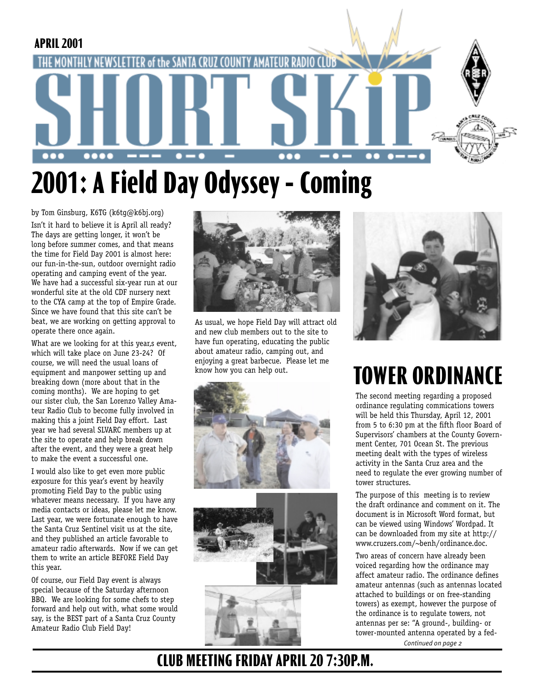

# **2001: A Field Day Odyssey - Coming**

by Tom Ginsburg, K6TG (k6tg@k6bj.org) Isn't it hard to believe it is April all ready? The days are getting longer, it won't be long before summer comes, and that means the time for Field Day 2001 is almost here: our fun-in-the-sun, outdoor overnight radio operating and camping event of the year. We have had a successful six-year run at our wonderful site at the old CDF nursery next to the CYA camp at the top of Empire Grade. Since we have found that this site can't be beat, we are working on getting approval to operate there once again.

What are we looking for at this year, s event, which will take place on June 23-24? Of course, we will need the usual loans of equipment and manpower setting up and breaking down (more about that in the coming months). We are hoping to get our sister club, the San Lorenzo Valley Amateur Radio Club to become fully involved in making this a joint Field Day effort. Last year we had several SLVARC members up at the site to operate and help break down after the event, and they were a great help to make the event a successful one.

I would also like to get even more public exposure for this year's event by heavily promoting Field Day to the public using whatever means necessary. If you have any media contacts or ideas, please let me know. Last year, we were fortunate enough to have the Santa Cruz Sentinel visit us at the site, and they published an article favorable to amateur radio afterwards. Now if we can get them to write an article BEFORE Field Day this year.

Of course, our Field Day event is always special because of the Saturday afternoon BBQ. We are looking for some chefs to step forward and help out with, what some would say, is the BEST part of a Santa Cruz County Amateur Radio Club Field Day!



As usual, we hope Field Day will attract old and new club members out to the site to have fun operating, educating the public about amateur radio, camping out, and enjoying a great barbecue. Please let me know how you can help out.









# **TOWER ORDINANCE**

The second meeting regarding a proposed ordinance regulating commications towers will be held this Thursday, April 12, 2001 from 5 to 6:30 pm at the fifth floor Board of Supervisors' chambers at the County Government Center, 701 Ocean St. The previous meeting dealt with the types of wireless activity in the Santa Cruz area and the need to regulate the ever growing number of tower structures.

The purpose of this meeting is to review the draft ordinance and comment on it. The document is in Microsoft Word format, but can be viewed using Windows' Wordpad. It can be downloaded from my site at http:// www.cruzers.com/~benh/ordinance.doc.

*Continued on page 2* Two areas of concern have already been voiced regarding how the ordinance may affect amateur radio. The ordinance defines amateur antennas (such as antennas located attached to buildings or on free-standing towers) as exempt, however the purpose of the ordinance is to regulate towers, not antennas per se: "A ground-, building- or tower-mounted antenna operated by a fed-

## **CLUB MEETING FRIDAY APRIL 20 7:30P.M.**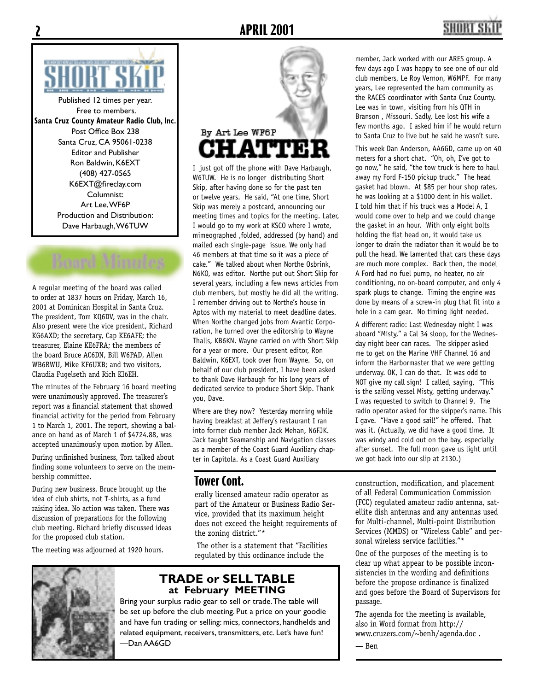

Published 12 times per year. Free to members. **Santa Cruz County Amateur Radio Club, Inc.** Post Office Box 238 Santa Cruz, CA 95061-0238 Editor and Publisher Ron Baldwin, K6EXT (408) 427-0565 K6EXT@fireclay.com Columnist: Art Lee, WF6P Production and Distribution: Dave Harbaugh, W6TUW

A regular meeting of the board was called to order at 1837 hours on Friday, March 16, 2001 at Dominican Hospital in Santa Cruz. The president, Tom KQ6DV, was in the chair. Also present were the vice president, Richard KG6AXD; the secretary, Cap KE6AFE; the treasurer, Elaine KE6FRA; the members of the board Bruce AC6DN, Bill W6PAD, Allen WB6RWU, Mike KF6UXB; and two visitors, Claudia Fugelseth and Rich KI6EH.

The minutes of the February 16 board meeting were unanimously approved. The treasurer's report was a financial statement that showed financial activity for the period from February 1 to March 1, 2001. The report, showing a balance on hand as of March 1 of \$4724.88, was accepted unanimously upon motion by Allen.

During unfinished business, Tom talked about finding some volunteers to serve on the membership committee.

During new business, Bruce brought up the idea of club shirts, not T-shirts, as a fund raising idea. No action was taken. There was discussion of preparations for the following club meeting. Richard briefly discussed ideas for the proposed club station.

The meeting was adjourned at 1920 hours.



I just got off the phone with Dave Harbaugh, W6TUW. He is no longer distributing Short Skip, after having done so for the past ten or twelve years. He said, "At one time, Short Skip was merely a postcard, announcing our meeting times and topics for the meeting. Later, I would go to my work at KSCO where I wrote, mimeographed ,folded, addressed (by hand) and mailed each single-page issue. We only had 46 members at that time so it was a piece of cake." We talked about when Northe Osbrink, N6KO, was editor. Northe put out Short Skip for several years, including a few news articles from club members, but mostly he did all the writing. I remember driving out to Northe's house in Aptos with my material to meet deadline dates. When Northe changed jobs from Avantic Corporation, he turned over the editorship to Wayne Thalls, KB6KN. Wayne carried on with Short Skip for a year or more. Our present editor, Ron Baldwin, K6EXT, took over from Wayne. So, on behalf of our club president, I have been asked to thank Dave Harbaugh for his long years of dedicated service to produce Short Skip. Thank you, Dave.

Where are they now? Yesterday morning while having breakfast at Jeffery's restaurant I ran into former club member Jack Mehan, N6FJK. Jack taught Seamanship and Navigation classes as a member of the Coast Guard Auxiliary chapter in Capitola. As a Coast Guard Auxiliary

#### **Tower Cont.**

erally licensed amateur radio operator as part of the Amateur or Business Radio Service, provided that its maximum height does not exceed the height requirements of the zoning district."\*

 The other is a statement that "Facilities regulated by this ordinance include the



#### **TRADE or SELL TABLE at February MEETING**

Bring your surplus radio gear to sell or trade. The table will be set up before the club meeting. Put a price on your goodie and have fun trading or selling: mics, connectors, handhelds and related equipment, receivers, transmitters, etc. Let's have fun! —Dan AA6GD

member, Jack worked with our ARES group. A few days ago I was happy to see one of our old club members, Le Roy Vernon, W6MPF. For many years, Lee represented the ham community as the RACES coordinator with Santa Cruz County. Lee was in town, visiting from his QTH in Branson , Missouri. Sadly, Lee lost his wife a few months ago. I asked him if he would return to Santa Cruz to live but he said he wasn't sure.

This week Dan Anderson, AA6GD, came up on 40 meters for a short chat. "Oh, oh, I've got to go now," he said, "the tow truck is here to haul away my Ford F-150 pickup truck." The head gasket had blown. At \$85 per hour shop rates, he was looking at a \$1000 dent in his wallet. I told him that if his truck was a Model A, I would come over to help and we could change the gasket in an hour. With only eight bolts holding the flat head on, it would take us longer to drain the radiator than it would be to pull the head. We lamented that cars these days are much more complex. Back then, the model A Ford had no fuel pump, no heater, no air conditioning, no on-board computer, and only 4 spark plugs to change. Timing the engine was done by means of a screw-in plug that fit into a hole in a cam gear. No timing light needed.

A different radio: Last Wednesday night I was aboard "Misty," a Cal 34 sloop, for the Wednesday night beer can races. The skipper asked me to get on the Marine VHF Channel 16 and inform the Harbormaster that we were getting underway. OK, I can do that. It was odd to NOT give my call sign! I called, saying, "This is the sailing vessel Misty, getting underway." I was requested to switch to Channel 9. The radio operator asked for the skipper's name. This I gave. "Have a good sail!" he offered. That was it. (Actually, we did have a good time. It was windy and cold out on the bay, especially after sunset. The full moon gave us light until we got back into our slip at 2130.)

construction, modification, and placement of all Federal Communication Commission (FCC) regulated amateur radio antenna, satellite dish antennas and any antennas used for Multi-channel, Multi-point Distribution Services (MMDS) or "Wireless Cable" and personal wireless service facilities."\*

One of the purposes of the meeting is to clear up what appear to be possible inconsistencies in the wording and definitions before the propose ordinance is finalized and goes before the Board of Supervisors for passage.

The agenda for the meeting is available, also in Word format from http:// www.cruzers.com/~benh/agenda.doc .

— Ben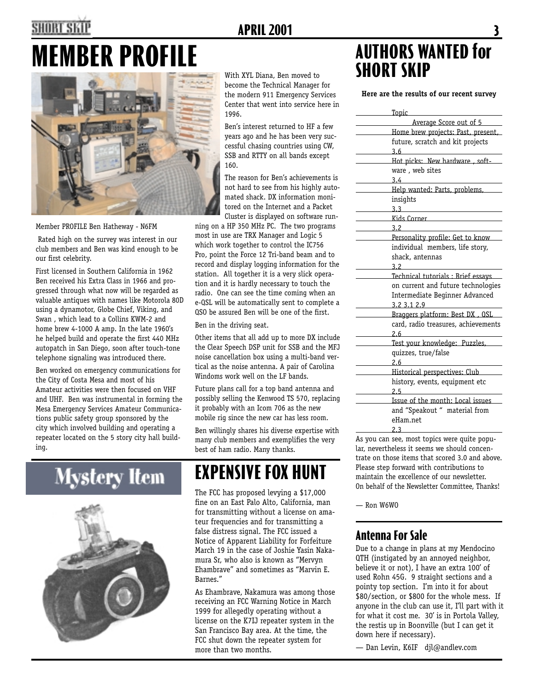## SHORT SI

### **APRIL 2001**

# **MEMBER PROFILE**



Member PROFILE Ben Hatheway - N6FM

 Rated high on the survey was interest in our club members and Ben was kind enough to be our first celebrity.

First licensed in Southern California in 1962 Ben received his Extra Class in 1966 and progressed through what now will be regarded as valuable antiques with names like Motorola 80D using a dynamotor, Globe Chief, Viking, and Swan , which lead to a Collins KWM-2 and home brew 4-1000 A amp. In the late 1960's he helped build and operate the first 440 MHz autopatch in San Diego, soon after touch-tone telephone signaling was introduced there.

Ben worked on emergency communications for the City of Costa Mesa and most of his Amateur activities were then focused on VHF and UHF. Ben was instrumental in forming the Mesa Emergency Services Amateur Communications public safety group sponsored by the city which involved building and operating a repeater located on the 5 story city hall building.

Mystery Item



With XYL Diana, Ben moved to become the Technical Manager for the modern 911 Emergency Services Center that went into service here in 1996.

Ben's interest returned to HF a few years ago and he has been very successful chasing countries using CW, SSB and RTTY on all bands except 160.

The reason for Ben's achievements is not hard to see from his highly automated shack. DX information monitored on the Internet and a Packet Cluster is displayed on software run-

ning on a HP 350 MHz PC. The two programs most in use are TRX Manager and Logic 5 which work together to control the IC756 Pro, point the Force 12 Tri-band beam and to record and display logging information for the station. All together it is a very slick operation and it is hardly necessary to touch the radio. One can see the time coming when an e-QSL will be automatically sent to complete a 0SO be assured Ben will be one of the first.

Ben in the driving seat.

Other items that all add up to more DX include the Clear Speech DSP unit for SSB and the MFJ noise cancellation box using a multi-band vertical as the noise antenna. A pair of Carolina Windoms work well on the LF bands.

Future plans call for a top band antenna and possibly selling the Kenwood TS 570, replacing it probably with an Icom 706 as the new mobile rig since the new car has less room.

Ben willingly shares his diverse expertise with many club members and exemplifies the very best of ham radio. Many thanks.

## **EXPENSIVE FOX HUNT**

The FCC has proposed levying a \$17,000 fine on an East Palo Alto, California, man for transmitting without a license on amateur frequencies and for transmitting a false distress signal. The FCC issued a Notice of Apparent Liability for Forfeiture March 19 in the case of Joshie Yasin Nakamura Sr, who also is known as "Mervyn Ehambrave" and sometimes as "Marvin E. Barnes."

As Ehambrave, Nakamura was among those receiving an FCC Warning Notice in March 1999 for allegedly operating without a license on the K7IJ repeater system in the San Francisco Bay area. At the time, the FCC shut down the repeater system for more than two months.

## **AUTHORS WANTED for SHORT SKIP**

**Here are the results of our recent survey** 

| <u>Topic</u>                        |  |
|-------------------------------------|--|
| Average Score out of 5              |  |
| Home brew projects: Past, present,  |  |
| future, scratch and kit projects    |  |
| 3.6                                 |  |
| Hot picks: New hardware, soft-      |  |
| ware, web sites                     |  |
| 3.4                                 |  |
| Help wanted: Parts, problems,       |  |
| insights                            |  |
| 3.3                                 |  |
| Kids Corner                         |  |
| 3.2                                 |  |
| Personality profile: Get to know    |  |
| individual members, life story,     |  |
| shack, antennas                     |  |
| 32                                  |  |
| Technical tutorials : Brief essays  |  |
| on current and future technologies  |  |
| Intermediate Beginner Advanced      |  |
| 3.2 3.1 2.9                         |  |
| Braggers platform: Best DX, QSL     |  |
| card, radio treasures, achievements |  |
| 2.6                                 |  |
| Test your knowledge: Puzzles,       |  |
| quizzes, true/false                 |  |
| 2.6                                 |  |
| Historical perspectives: Club       |  |
| history, events, equipment etc      |  |
| 2.5                                 |  |
| Issue of the month: Local issues    |  |
| and "Speakout " material from       |  |
| eHam.net                            |  |
| 2.3                                 |  |

As you can see, most topics were quite popular, nevertheless it seems we should concentrate on those items that scored 3.0 and above. Please step forward with contributions to maintain the excellence of our newsletter. On behalf of the Newsletter Committee, Thanks!

— Ron W6WO

#### **Antenna For Sale**

Due to a change in plans at my Mendocino QTH (instigated by an annoyed neighbor, believe it or not), I have an extra 100' of used Rohn 45G. 9 straight sections and a pointy top section. I'm into it for about \$80/section, or \$800 for the whole mess. If anyone in the club can use it, I'll part with it for what it cost me. 30' is in Portola Valley, the restis up in Boonville (but I can get it down here if necessary).

— Dan Levin, K6IF djl@andlev.com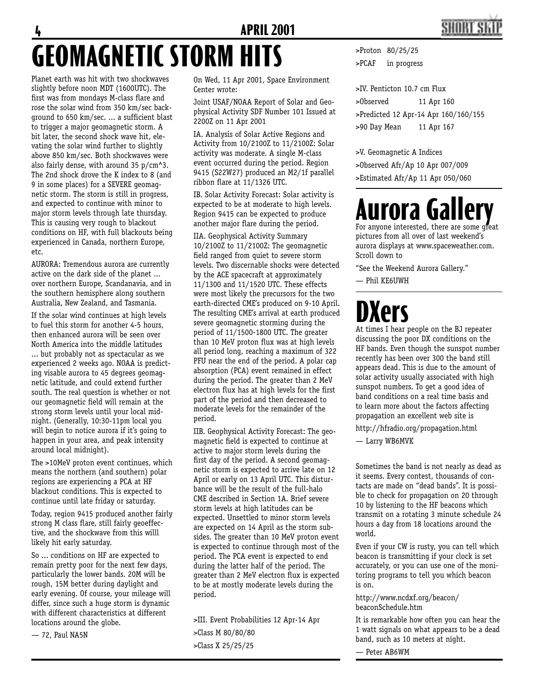# 4 **APRIL 2001 GEOMAGNETIC STORM HITS**

Planet earth was hit with two shockwaves slightly before noon MDT (1600UTC). The first was from mondays M-class flare and rose the solar wind from 350 km/sec background to 650 km/sec. ... a sufficient blast to trigger a major geomagnetic storm. A bit later, the second shock wave hit, elevating the solar wind further to slightly above 850 km/sec. Both shockwaves were also fairly dense, with around 35 p/cm^3. The 2nd shock drove the K index to 8 (and 9 in some places) for a SEVERE geomagnetic storm. The storm is still in progress, and expected to continue with minor to major storm levels through late thursday. This is causing very rough to blackout conditions on HF, with full blackouts being experienced in Canada, northern Europe, etc.

AURORA: Tremendous aurora are currently active on the dark side of the planet ... over northern Europe, Scandanavia, and in the southern hemisphere along southern Australia, New Zealand, and Tasmania.

If the solar wind continues at high levels to fuel this storm for another 4-5 hours, then enhanced aurora will be seen over North America into the middle latitudes ... but probably not as spectacular as we experienced 2 weeks ago. NOAA is predicting visable aurora to 45 degrees geomagnetic latitude, and could extend further south. The real question is whether or not our geomagnetic field will remain at the strong storm levels until your local midnight. (Generally, 10:30-11pm local you will begin to notice aurora if it's going to happen in your area, and peak intensity around local midnight).

The >10MeV proton event continues, which means the northern (and southern) polar regions are experiencing a PCA at HF blackout conditions. This is expected to continue until late friday or saturday.

Today, region 9415 produced another fairly strong M class flare, still fairly geoeffective, and the shockwave from this willl likely hit early saturday.

So ... conditions on HF are expected to remain pretty poor for the next few days, particularly the lower bands. 20M will be rough, 15M better during daylight and early evening. Of course, your mileage will differ, since such a huge storm is dynamic with different characteristics at different locations around the globe.

— 72, Paul NA5N

On Wed, 11 Apr 2001, Space Environment Center wrote:

Joint USAF/NOAA Report of Solar and Geophysical Activity SDF Number 101 Issued at 2200Z on 11 Apr 2001

IA. Analysis of Solar Active Regions and Activity from 10/2100Z to 11/2100Z: Solar activity was moderate. A single M-class event occurred during the period. Region 9415 (S22W27) produced an M2/1f parallel ribbon flare at 11/1326 UTC.

IB. Solar Activity Forecast: Solar activity is expected to be at moderate to high levels. Region 9415 can be expected to produce another major flare during the period.

IIA. Geophysical Activity Summary 10/2100Z to 11/2100Z: The geomagnetic field ranged from quiet to severe storm levels. Two discernable shocks were detected by the ACE spacecraft at approximately 11/1300 and 11/1520 UTC. These effects were most likely the precursors for the two earth-directed CME's produced on 9-10 April. The resulting CME's arrival at earth produced severe geomagnetic storming during the period of 11/1500-1800 UTC. The greater than 10 MeV proton flux was at high levels all period long, reaching a maximum of 322 PFU near the end of the period. A polar cap absorption (PCA) event remained in effect during the period. The greater than 2 MeV electron flux has at high levels for the first part of the period and then decreased to moderate levels for the remainder of the period.

IIB. Geophysical Activity Forecast: The geomagnetic field is expected to continue at active to major storm levels during the first day of the period. A second geomagnetic storm is expected to arrive late on 12 April or early on 13 April UTC. This disturbance will be the result of the full-halo CME described in Section 1A. Brief severe storm levels at high latitudes can be expected. Unsettled to minor storm levels are expected on 14 April as the storm subsides. The greater than 10 MeV proton event is expected to continue through most of the period. The PCA event is expected to end during the latter half of the period. The greater than 2 MeV electron flux is expected to be at mostly moderate levels during the period.

>III. Event Probabilities 12 Apr-14 Apr >Class M 80/80/80 >Class X 25/25/25

>Proton 80/25/25 >PCAF in progress

>IV. Penticton 10.7 cm Flux >Observed 11 Apr 160 >Predicted 12 Apr-14 Apr 160/160/155 >90 Day Mean 11 Apr 167

>V. Geomagnetic A Indices >Observed Afr/Ap 10 Apr 007/009 >Estimated Afr/Ap 11 Apr 050/060

## **Aurora Gallery** For anyone interested, there are some great

pictures from all over of last weekend's aurora displays at www.spaceweather.com. Scroll down to

"See the Weekend Aurora Gallery."

— Phil KE6UWH

# **DXers**

At times I hear people on the BJ repeater discussing the poor DX conditions on the HF bands. Even though the sunspot number recently has been over 300 the band still appears dead. This is due to the amount of solar activity usually associated with high sunspot numbers. To get a good idea of band conditions on a real time basis and to learn more about the factors affecting propagation an excellent web site is

http://hfradio.org/propagation.html — Larry WB6MVK

Sometimes the band is not nearly as dead as it seems. Every contest, thousands of contacts are made on "dead bands". It is possible to check for propagation on 20 through 10 by listening to the HF beacons which transmit on a rotating 3 minute schedule 24 hours a day from 18 locations around the world.

Even if your CW is rusty, you can tell which beacon is transmitting if your clock is set accurately, or you can use one of the monitoring programs to tell you which beacon is on.

http://www.ncdxf.org/beacon/ beaconSchedule.htm

It is remarkable how often you can hear the 1 watt signals on what appears to be a dead band, such as 10 meters at night.

— Peter AB6WM

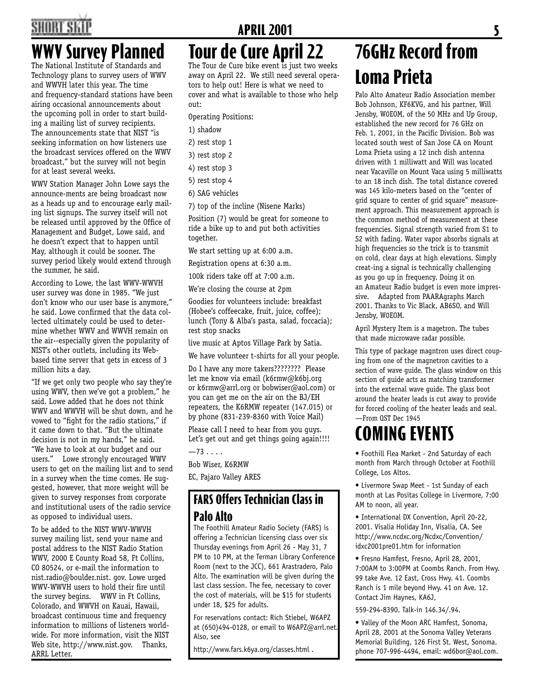## SHORT SI

## **WWV Survey Planned**

The National Institute of Standards and Technology plans to survey users of WWV and WWVH later this year. The time and frequency-standard stations have been airing occasional announcements about the upcoming poll in order to start building a mailing list of survey recipients. The announcements state that NIST "is seeking information on how listeners use the broadcast services offered on the WWV broadcast," but the survey will not begin for at least several weeks.

WWV Station Manager John Lowe says the announce-ments are being broadcast now as a heads up and to encourage early mailing list signups. The survey itself will not be released until approved by the Office of Management and Budget, Lowe said, and he doesn't expect that to happen until May, although it could be sooner. The survey period likely would extend through the summer, he said.

According to Lowe, the last WWV-WWVH user survey was done in 1985. "We just don't know who our user base is anymore," he said. Lowe confirmed that the data collected ultimately could be used to determine whether WWV and WWVH remain on the air--especially given the popularity of NIST's other outlets, including its Webbased time server that gets in excess of 3 million hits a day.

"If we get only two people who say they're using WWV, then we've got a problem," he said. Lowe added that he does not think WWV and WWVH will be shut down, and he vowed to "fight for the radio stations," if it came down to that. "But the ultimate decision is not in my hands," he said. "We have to look at our budget and our users." Lowe strongly encouraged WWV users to get on the mailing list and to send in a survey when the time comes. He suggested, however, that more weight will be given to survey responses from corporate and institutional users of the radio service as opposed to individual users.

To be added to the NIST WWV-WWVH survey mailing list, send your name and postal address to the NIST Radio Station WWV, 2000 E County Road 58, Ft Collins, CO 80524, or e-mail the information to nist.radio@boulder.nist. gov. Lowe urged WWV-WWVH users to hold their fire until the survey begins. WWV in Ft Collins, Colorado, and WWVH on Kauai, Hawaii, broadcast continuous time and frequency information to millions of listeners worldwide. For more information, visit the NIST Web site, http://www.nist.gov. Thanks, ARRL Letter.

# **APRIL 2001** 5

## **Tour de Cure April 22**

The Tour de Cure bike event is just two weeks away on April 22. We still need several operators to help out! Here is what we need to cover and what is available to those who help out:

Operating Positions:

- 1) shadow
- 2) rest stop 1
- 3) rest stop 2
- 4) rest stop 3
- 5) rest stop 4
- 6) SAG vehicles
- 7) top of the incline (Nisene Marks)

Position (7) would be great for someone to ride a bike up to and put both activities together.

We start setting up at 6:00 a.m.

Registration opens at 6:30 a.m.

100k riders take off at 7:00 a.m.

We're closing the course at 2pm

Goodies for volunteers include: breakfast (Hobee's coffeecake, fruit, juice, coffee); lunch (Tony & Alba's pasta, salad, foccacia); rest stop snacks

live music at Aptos Village Park by Satia.

We have volunteer t-shirts for all your people.

Do I have any more takers???????? Please let me know via email (k6rmw@k6bj.org or k6rmw@arrl.org or bobwiser@aol.com) or you can get me on the air on the BJ/EH repeaters, the K6RMW repeater (147.015) or by phone (831-239-8360 with Voice Mail)

Please call I need to hear from you guys. Let's get out and get things going again!!!!

 $-73...$ 

Bob Wiser, K6RMW

EC, Pajaro Valley ARES

### **FARS Offers Technician Class in Palo Alto**

The Foothill Amateur Radio Society (FARS) is offering a Technician licensing class over six Thursday evenings from April 26 - May 31, 7 PM to 10 PM, at the Terman Library Conference Room (next to the JCC), 661 Arastradero, Palo Alto. The examination will be given during the last class session. The fee, necessary to cover the cost of materials, will be \$15 for students under 18, \$25 for adults.

For reservations contact: Rich Stiebel, W6APZ at (650)494-0128, or email to W6APZ@arrl.net. Also, see

http://www.fars.k6ya.org/classes.html .

## **76GHz Record from Loma Prieta**

Palo Alto Amateur Radio Association member Bob Johnson, KF6KVG, and his partner, Will Jensby, W0EOM, of the 50 MHz and Up Group, established the new record for 76 GHz on Feb. 1, 2001, in the Pacific Division. Bob was located south west of San Jose CA on Mount Loma Prieta using a 12 inch dish antenna driven with 1 milliwatt and Will was located near Vacaville on Mount Vaca using 5 milliwatts to an 18 inch dish. The total distance covered was 145 kilo-meters based on the "center of grid square to center of grid square" measurement approach. This measurement approach is the common method of measurement at these frequencies. Signal strength varied from S1 to S2 with fading. Water vapor absorbs signals at high frequencies so the trick is to transmit on cold, clear days at high elevations. Simply creat-ing a signal is technically challenging as you go up in frequency. Doing it on an Amateur Radio budget is even more impressive. Adapted from PAARAgraphs March 2001. Thanks to Vic Black, AB6SO, and Will Jensby, W0EOM.

April Mystery Item is a magetron. The tubes that made microwave radar possible.

This type of package magntron uses direct couping from one of the magnetron cavities to a section of wave guide. The glass window on this section of guide acts as matching transformer into the external wave guide. The glass boot around the heater leads is cut away to provide for forced cooling of the heater leads and seal. —From QST Dec 1945

## **COMING EVENTS**

• Foothill Flea Market - 2nd Saturday of each month from March through October at Foothill College, Los Altos.

• Livermore Swap Meet - 1st Sunday of each month at Las Positas College in Livermore, 7:00 AM to noon, all year.

• International DX Convention, April 20-22, 2001. Visalia Holiday Inn, Visalia, CA. See http://www.ncdxc.org/Ncdxc/Convention/ idxc2001pre01.htm for information

• Fresno Hamfest, Fresno, April 28, 2001, 7:00AM to 3:00PM at Coombs Ranch. From Hwy. 99 take Ave. 12 East, Cross Hwy. 41. Coombs Ranch is 1 mile beyond Hwy. 41 on Ave. 12. Contact Jim Haynes, KA6J,

559-294-8390. Talk-in 146.34/.94.

• Valley of the Moon ARC Hamfest, Sonoma, April 28, 2001 at the Sonoma Valley Veterans Memorial Building, 126 First St. West, Sonoma. phone 707-996-4494, email: wd6bor@aol.com.